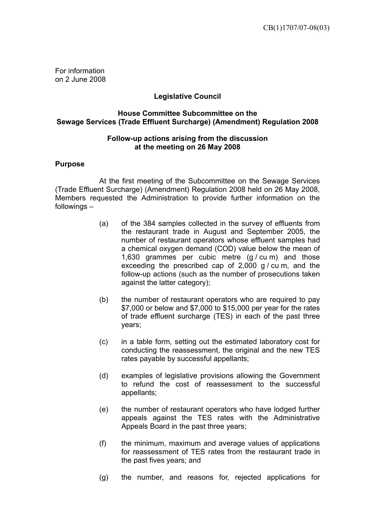For information on 2 June 2008

# **Legislative Council**

## **House Committee Subcommittee on the Sewage Services (Trade Effluent Surcharge) (Amendment) Regulation 2008**

### **Follow-up actions arising from the discussion at the meeting on 26 May 2008**

### **Purpose**

 At the first meeting of the Subcommittee on the Sewage Services (Trade Effluent Surcharge) (Amendment) Regulation 2008 held on 26 May 2008, Members requested the Administration to provide further information on the followings –

- (a) of the 384 samples collected in the survey of effluents from the restaurant trade in August and September 2005, the number of restaurant operators whose effluent samples had a chemical oxygen demand (COD) value below the mean of 1,630 grammes per cubic metre  $(g / cu \, m)$  and those exceeding the prescribed cap of  $2,000$  g/cum, and the follow-up actions (such as the number of prosecutions taken against the latter category);
- (b) the number of restaurant operators who are required to pay \$7,000 or below and \$7,000 to \$15,000 per year for the rates of trade effluent surcharge (TES) in each of the past three years;
- (c) in a table form, setting out the estimated laboratory cost for conducting the reassessment, the original and the new TES rates payable by successful appellants;
- (d) examples of legislative provisions allowing the Government to refund the cost of reassessment to the successful appellants;
- (e) the number of restaurant operators who have lodged further appeals against the TES rates with the Administrative Appeals Board in the past three years;
- (f) the minimum, maximum and average values of applications for reassessment of TES rates from the restaurant trade in the past fives years; and
- (g) the number, and reasons for, rejected applications for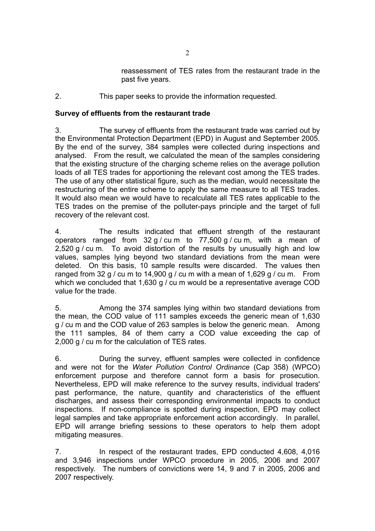reassessment of TES rates from the restaurant trade in the past five years.

2. This paper seeks to provide the information requested.

### **Survey of effluents from the restaurant trade**

3. The survey of effluents from the restaurant trade was carried out by the Environmental Protection Department (EPD) in August and September 2005. By the end of the survey, 384 samples were collected during inspections and analysed. From the result, we calculated the mean of the samples considering that the existing structure of the charging scheme relies on the average pollution loads of all TES trades for apportioning the relevant cost among the TES trades. The use of any other statistical figure, such as the median, would necessitate the restructuring of the entire scheme to apply the same measure to all TES trades. It would also mean we would have to recalculate all TES rates applicable to the TES trades on the premise of the polluter-pays principle and the target of full recovery of the relevant cost.

4. The results indicated that effluent strength of the restaurant operators ranged from  $32 g / cu$  m to  $77,500 g / cu$  m, with a mean of 2,520 g / cu m. To avoid distortion of the results by unusually high and low values, samples lying beyond two standard deviations from the mean were deleted. On this basis, 10 sample results were discarded. The values then ranged from 32 g / cu m to 14,900 g / cu m with a mean of 1,629 g / cu m. From which we concluded that 1,630 g / cu m would be a representative average COD value for the trade.

5. Among the 374 samples lying within two standard deviations from the mean, the COD value of 111 samples exceeds the generic mean of 1,630 g / cu m and the COD value of 263 samples is below the generic mean. Among the 111 samples, 84 of them carry a COD value exceeding the cap of 2,000 g / cu m for the calculation of TES rates.

6. During the survey, effluent samples were collected in confidence and were not for the *Water Pollution Control Ordinance* (Cap 358) (WPCO) enforcement purpose and therefore cannot form a basis for prosecution. Nevertheless, EPD will make reference to the survey results, individual traders' past performance, the nature, quantity and characteristics of the effluent discharges, and assess their corresponding environmental impacts to conduct inspections. If non-compliance is spotted during inspection, EPD may collect legal samples and take appropriate enforcement action accordingly. In parallel, EPD will arrange briefing sessions to these operators to help them adopt mitigating measures.

7. In respect of the restaurant trades, EPD conducted 4,608, 4,016 and 3,946 inspections under WPCO procedure in 2005, 2006 and 2007 respectively. The numbers of convictions were 14, 9 and 7 in 2005, 2006 and 2007 respectively.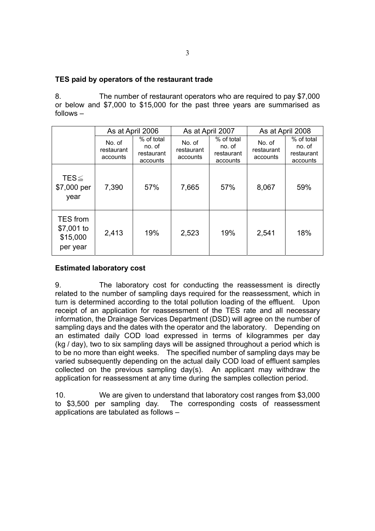### **TES paid by operators of the restaurant trade**

8. The number of restaurant operators who are required to pay \$7,000 or below and \$7,000 to \$15,000 for the past three years are summarised as follows –

|                                                       | As at April 2006                 |                                                | As at April 2007                 |                                                | As at April 2008                 |                                                |
|-------------------------------------------------------|----------------------------------|------------------------------------------------|----------------------------------|------------------------------------------------|----------------------------------|------------------------------------------------|
|                                                       | No. of<br>restaurant<br>accounts | % of total<br>no. of<br>restaurant<br>accounts | No. of<br>restaurant<br>accounts | % of total<br>no. of<br>restaurant<br>accounts | No. of<br>restaurant<br>accounts | % of total<br>no. of<br>restaurant<br>accounts |
| TES $\leq$<br>\$7,000 per<br>year                     | 7,390                            | 57%                                            | 7,665                            | 57%                                            | 8,067                            | 59%                                            |
| <b>TES</b> from<br>\$7,001 to<br>\$15,000<br>per year | 2,413                            | 19%                                            | 2,523                            | 19%                                            | 2,541                            | 18%                                            |

## **Estimated laboratory cost**

9. The laboratory cost for conducting the reassessment is directly related to the number of sampling days required for the reassessment, which in turn is determined according to the total pollution loading of the effluent. Upon receipt of an application for reassessment of the TES rate and all necessary information, the Drainage Services Department (DSD) will agree on the number of sampling days and the dates with the operator and the laboratory. Depending on an estimated daily COD load expressed in terms of kilogrammes per day (kg / day), two to six sampling days will be assigned throughout a period which is to be no more than eight weeks. The specified number of sampling days may be varied subsequently depending on the actual daily COD load of effluent samples collected on the previous sampling day(s). An applicant may withdraw the application for reassessment at any time during the samples collection period.

10. We are given to understand that laboratory cost ranges from \$3,000 to \$3,500 per sampling day. The corresponding costs of reassessment applications are tabulated as follows –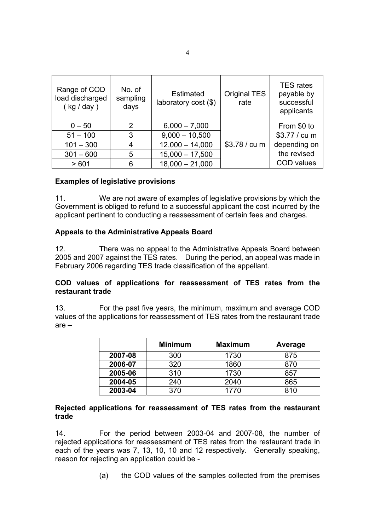| Range of COD<br>load discharged<br>(kg / day) | No. of<br>sampling<br>days | <b>Estimated</b><br>laboratory cost (\$) | <b>Original TES</b><br>rate | <b>TES</b> rates<br>payable by<br>successful<br>applicants |
|-----------------------------------------------|----------------------------|------------------------------------------|-----------------------------|------------------------------------------------------------|
| $0 - 50$                                      | 2                          | $6,000 - 7,000$                          |                             | From \$0 to                                                |
| $51 - 100$                                    | 3                          | $9,000 - 10,500$                         |                             | \$3.77 / cu m                                              |
| $101 - 300$                                   | 4                          | $12,000 - 14,000$                        | \$3.78 / cu m               | depending on                                               |
| $301 - 600$                                   | 5                          | $15,000 - 17,500$                        |                             | the revised                                                |
| >601                                          | 6                          | $18,000 - 21,000$                        |                             | <b>COD</b> values                                          |

### **Examples of legislative provisions**

11. We are not aware of examples of legislative provisions by which the Government is obliged to refund to a successful applicant the cost incurred by the applicant pertinent to conducting a reassessment of certain fees and charges.

### **Appeals to the Administrative Appeals Board**

12. There was no appeal to the Administrative Appeals Board between 2005 and 2007 against the TES rates. During the period, an appeal was made in February 2006 regarding TES trade classification of the appellant.

### **COD values of applications for reassessment of TES rates from the restaurant trade**

13. For the past five years, the minimum, maximum and average COD values of the applications for reassessment of TES rates from the restaurant trade are –

|         | <b>Minimum</b> | <b>Maximum</b> | Average |
|---------|----------------|----------------|---------|
| 2007-08 | 300            | 1730           | 875     |
| 2006-07 | 320            | 1860           | 870     |
| 2005-06 | 310            | 1730           | 857     |
| 2004-05 | 240            | 2040           | 865     |
| 2003-04 | 370            | 1770           | 810     |

### **Rejected applications for reassessment of TES rates from the restaurant trade**

14. For the period between 2003-04 and 2007-08, the number of rejected applications for reassessment of TES rates from the restaurant trade in each of the years was 7, 13, 10, 10 and 12 respectively. Generally speaking, reason for rejecting an application could be -

(a) the COD values of the samples collected from the premises